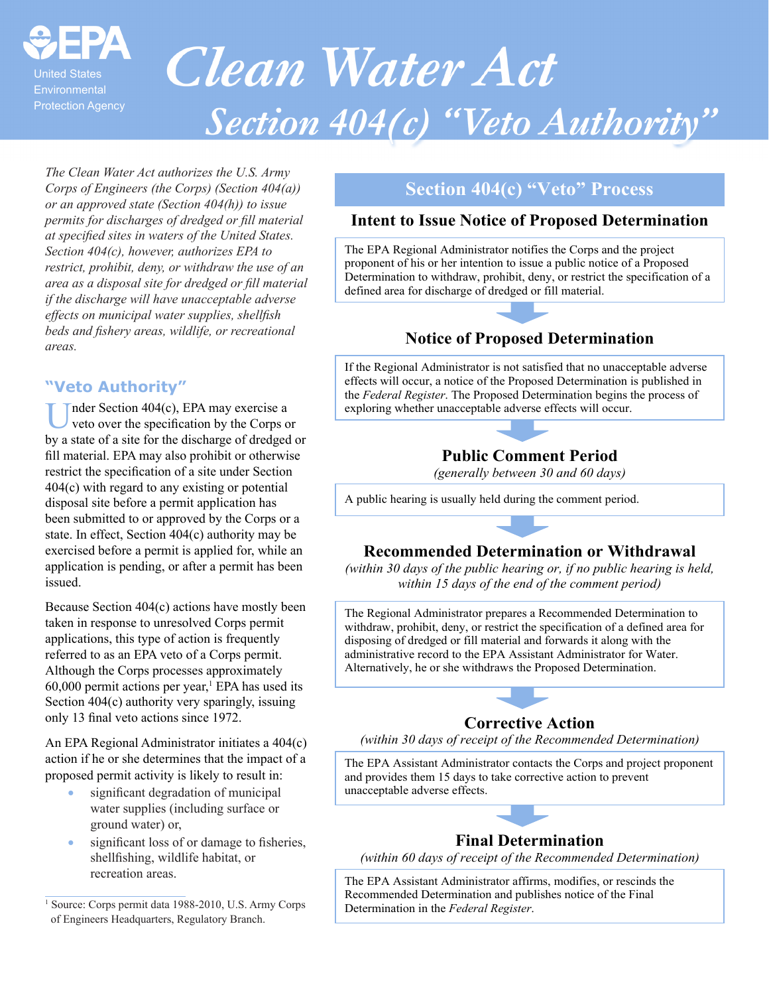

# **Clean Water Act Section 404(c) "Veto Authority"**

*The Clean Water Act authorizes the U.S. Army Corps of Engineers (the Corps) (Section 404(a)) or an approved state (Section 404(h)) to issue permits for discharges of dredged or fill material at specified sites in waters of the United States. Section 404(c), however, authorizes EPA to restrict, prohibit, deny, or withdraw the use of an area as a disposal site for dredged or fill material if the discharge will have unacceptable adverse effects on municipal water supplies, shellfish beds and fishery areas, wildlife, or recreational areas.*

#### **"Veto Authority"**

nder Section 404(c), EPA may exercise a veto over the specification by the Corps or by a state of a site for the discharge of dredged or fill material. EPA may also prohibit or otherwise restrict the specification of a site under Section 404(c) with regard to any existing or potential disposal site before a permit application has been submitted to or approved by the Corps or a state. In effect, Section 404(c) authority may be exercised before a permit is applied for, while an application is pending, or after a permit has been issued.

Because Section 404(c) actions have mostly been taken in response to unresolved Corps permit applications, this type of action is frequently referred to as an EPA veto of a Corps permit. Although the Corps processes approximately  $60,000$  permit actions per year,<sup>1</sup> EPA has used its Section 404(c) authority very sparingly, issuing only 13 final veto actions since 1972.

An EPA Regional Administrator initiates a 404(c) action if he or she determines that the impact of a proposed permit activity is likely to result in:

- significant degradation of municipal water supplies (including surface or ground water) or,
- significant loss of or damage to fisheries, shellfishing, wildlife habitat, or recreation areas.

1 Source: Corps permit data 1988-2010, U.S. Army Corps of Engineers Headquarters, Regulatory Branch.

#### **Section 404(c) "Veto" Process**

#### **Intent to Issue Notice of Proposed Determination**

The EPA Regional Administrator notifies the Corps and the project proponent of his or her intention to issue a public notice of a Proposed Determination to withdraw, prohibit, deny, or restrict the specification of a defined area for discharge of dredged or fill material.

#### **Notice of Proposed Determination**

If the Regional Administrator is not satisfied that no unacceptable adverse effects will occur, a notice of the Proposed Determination is published in the *Federal Register*. The Proposed Determination begins the process of exploring whether unacceptable adverse effects will occur.



*(generally between 30 and 60 days)* 

A public hearing is usually held during the comment period.

#### **Recommended Determination or Withdrawal**

*(within 30 days of the public hearing or, if no public hearing is held, within 15 days of the end of the comment period)* 

The Regional Administrator prepares a Recommended Determination to withdraw, prohibit, deny, or restrict the specification of a defined area for disposing of dredged or fill material and forwards it along with the administrative record to the EPA Assistant Administrator for Water. Alternatively, he or she withdraws the Proposed Determination.

#### **Corrective Action**

*(within 30 days of receipt of the Recommended Determination)* 

The EPA Assistant Administrator contacts the Corps and project proponent and provides them 15 days to take corrective action to prevent unacceptable adverse effects.



#### **Final Determination**

*(within 60 days of receipt of the Recommended Determination)* 

The EPA Assistant Administrator affirms, modifies, or rescinds the Recommended Determination and publishes notice of the Final Determination in the *Federal Register*.